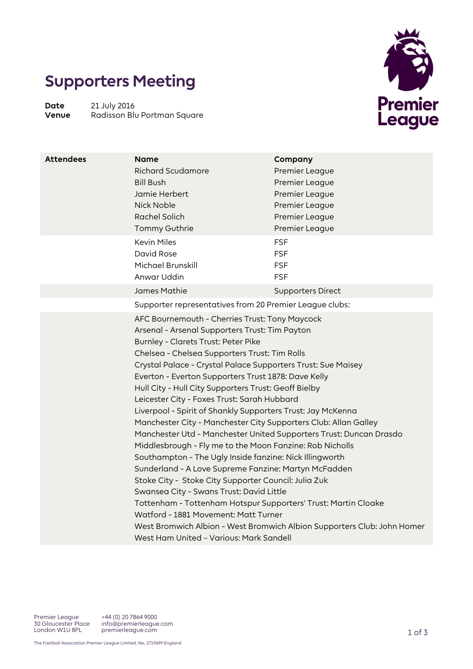## **Supporters Meeting**

**Date** 21 July 2016<br> **Venue** Radisson Blu **Venue** Radisson Blu Portman Square



| <b>Attendees</b> | <b>Name</b><br><b>Richard Scudamore</b><br><b>Bill Bush</b><br>Jamie Herbert<br>Nick Noble<br>Rachel Solich<br>Tommy Guthrie                                                                                                                                                                                                                                                                                                                                                                                                                                                                                                                                                                                                                                                                                                                                                                                      | Company<br>Premier League<br>Premier League<br>Premier League<br>Premier League<br>Premier League<br>Premier League |
|------------------|-------------------------------------------------------------------------------------------------------------------------------------------------------------------------------------------------------------------------------------------------------------------------------------------------------------------------------------------------------------------------------------------------------------------------------------------------------------------------------------------------------------------------------------------------------------------------------------------------------------------------------------------------------------------------------------------------------------------------------------------------------------------------------------------------------------------------------------------------------------------------------------------------------------------|---------------------------------------------------------------------------------------------------------------------|
|                  | <b>Kevin Miles</b><br>David Rose<br>Michael Brunskill<br>Anwar Uddin                                                                                                                                                                                                                                                                                                                                                                                                                                                                                                                                                                                                                                                                                                                                                                                                                                              | <b>FSF</b><br><b>FSF</b><br><b>FSF</b><br><b>FSF</b>                                                                |
|                  | James Mathie                                                                                                                                                                                                                                                                                                                                                                                                                                                                                                                                                                                                                                                                                                                                                                                                                                                                                                      | <b>Supporters Direct</b>                                                                                            |
|                  | Supporter representatives from 20 Premier League clubs:                                                                                                                                                                                                                                                                                                                                                                                                                                                                                                                                                                                                                                                                                                                                                                                                                                                           |                                                                                                                     |
|                  | AFC Bournemouth - Cherries Trust: Tony Maycock<br>Arsenal - Arsenal Supporters Trust: Tim Payton<br>Burnley - Clarets Trust: Peter Pike<br>Chelsea - Chelsea Supporters Trust: Tim Rolls<br>Crystal Palace - Crystal Palace Supporters Trust: Sue Maisey<br>Everton - Everton Supporters Trust 1878: Dave Kelly<br>Hull City - Hull City Supporters Trust: Geoff Bielby<br>Leicester City - Foxes Trust: Sarah Hubbard<br>Liverpool - Spirit of Shankly Supporters Trust: Jay McKenna<br>Manchester City - Manchester City Supporters Club: Allan Galley<br>Manchester Utd - Manchester United Supporters Trust: Duncan Drasdo<br>Middlesbrough - Fly me to the Moon Fanzine: Rob Nicholls<br>Southampton - The Ugly Inside fanzine: Nick Illingworth<br>Sunderland - A Love Supreme Fanzine: Martyn McFadden<br>Stoke City - Stoke City Supporter Council: Julia Zuk<br>Swansea City - Swans Trust: David Little |                                                                                                                     |
|                  | Tottenham - Tottenham Hotspur Supporters' Trust: Martin Cloake<br>Watford - 1881 Movement: Matt Turner<br>West Ham United - Various: Mark Sandell                                                                                                                                                                                                                                                                                                                                                                                                                                                                                                                                                                                                                                                                                                                                                                 | West Bromwich Albion - West Bromwich Albion Supporters Club: John Homer                                             |

Premier League 30 Gloucester Place London W1U 8PL

+44 (0) 20 7864 9000 info@premierleague.com premierleague.com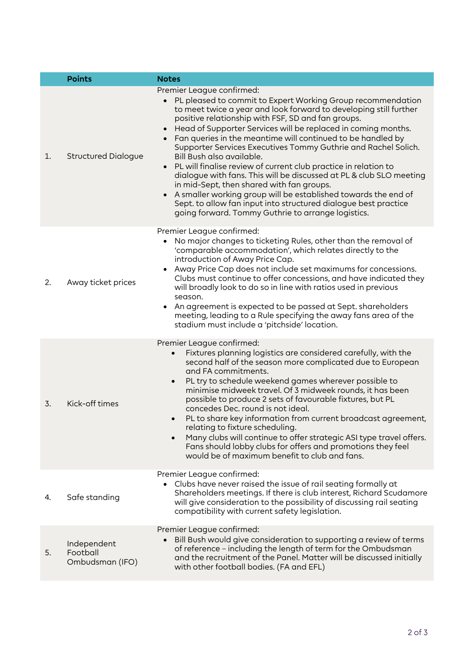|    | <b>Points</b>                              | <b>Notes</b>                                                                                                                                                                                                                                                                                                                                                                                                                                                                                                                                                                                                                                                                                                                                                                                                                         |
|----|--------------------------------------------|--------------------------------------------------------------------------------------------------------------------------------------------------------------------------------------------------------------------------------------------------------------------------------------------------------------------------------------------------------------------------------------------------------------------------------------------------------------------------------------------------------------------------------------------------------------------------------------------------------------------------------------------------------------------------------------------------------------------------------------------------------------------------------------------------------------------------------------|
| 1. | <b>Structured Dialogue</b>                 | Premier League confirmed:<br>PL pleased to commit to Expert Working Group recommendation<br>to meet twice a year and look forward to developing still further<br>positive relationship with FSF, SD and fan groups.<br>Head of Supporter Services will be replaced in coming months.<br>Fan queries in the meantime will continued to be handled by<br>Supporter Services Executives Tommy Guthrie and Rachel Solich.<br>Bill Bush also available.<br>PL will finalise review of current club practice in relation to<br>dialogue with fans. This will be discussed at PL & club SLO meeting<br>in mid-Sept, then shared with fan groups.<br>A smaller working group will be established towards the end of<br>Sept. to allow fan input into structured dialogue best practice<br>going forward. Tommy Guthrie to arrange logistics. |
| 2. | Away ticket prices                         | Premier League confirmed:<br>No major changes to ticketing Rules, other than the removal of<br>$\bullet$<br>'comparable accommodation', which relates directly to the<br>introduction of Away Price Cap.<br>Away Price Cap does not include set maximums for concessions.<br>Clubs must continue to offer concessions, and have indicated they<br>will broadly look to do so in line with ratios used in previous<br>season.<br>An agreement is expected to be passed at Sept. shareholders<br>$\bullet$<br>meeting, leading to a Rule specifying the away fans area of the<br>stadium must include a 'pitchside' location.                                                                                                                                                                                                          |
| 3. | Kick-off times                             | Premier League confirmed:<br>Fixtures planning logistics are considered carefully, with the<br>second half of the season more complicated due to European<br>and FA commitments.<br>PL try to schedule weekend games wherever possible to<br>$\bullet$<br>minimise midweek travel. Of 3 midweek rounds, it has been<br>possible to produce 2 sets of favourable fixtures, but PL<br>concedes Dec. round is not ideal.<br>PL to share key information from current broadcast agreement,<br>$\bullet$<br>relating to fixture scheduling.<br>Many clubs will continue to offer strategic ASI type travel offers.<br>$\bullet$<br>Fans should lobby clubs for offers and promotions they feel<br>would be of maximum benefit to club and fans.                                                                                           |
| 4. | Safe standing                              | Premier League confirmed:<br>Clubs have never raised the issue of rail seating formally at<br>$\bullet$<br>Shareholders meetings. If there is club interest, Richard Scudamore<br>will give consideration to the possibility of discussing rail seating<br>compatibility with current safety legislation.                                                                                                                                                                                                                                                                                                                                                                                                                                                                                                                            |
| 5. | Independent<br>Football<br>Ombudsman (IFO) | Premier League confirmed:<br>Bill Bush would give consideration to supporting a review of terms<br>of reference - including the length of term for the Ombudsman<br>and the recruitment of the Panel. Matter will be discussed initially<br>with other football bodies. (FA and EFL)                                                                                                                                                                                                                                                                                                                                                                                                                                                                                                                                                 |